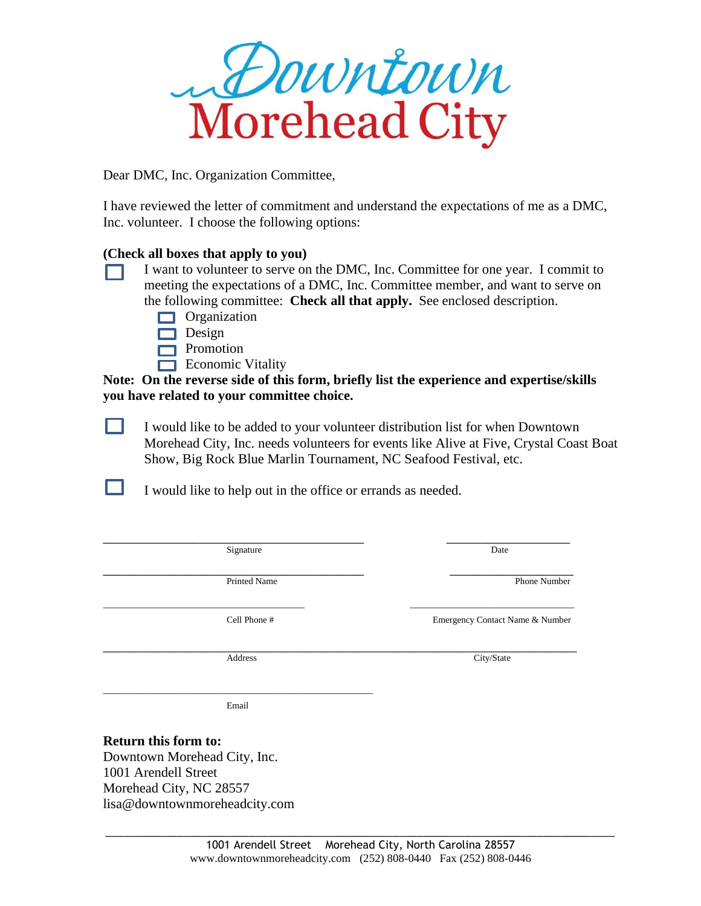

Dear DMC, Inc. Organization Committee,

I have reviewed the letter of commitment and understand the expectations of me as a DMC, Inc. volunteer. I choose the following options:

## **(Check all boxes that apply to you)**

- I want to volunteer to serve on the DMC, Inc. Committee for one year. I commit to meeting the expectations of a DMC, Inc. Committee member, and want to serve on the following committee: **Check all that apply.** See enclosed description.
	- **Organization**
	- $\Box$  Design
	- **Promotion**
	- $\Box$  Economic Vitality

**Note: On the reverse side of this form, briefly list the experience and expertise/skills you have related to your committee choice.**

. . I would like to be added to your volunteer distribution list for when Downtown Morehead City, Inc. needs volunteers for events like Alive at Five, Crystal Coast Boat Show, Big Rock Blue Marlin Tournament, NC Seafood Festival, etc.

I would like to help out in the office or errands as needed.

| Signature    | Date                            |
|--------------|---------------------------------|
|              |                                 |
| Printed Name | Phone Number                    |
| Cell Phone # | Emergency Contact Name & Number |
| Address      | City/State                      |
| Email        |                                 |

## **Return this form to:**

П

Downtown Morehead City, Inc. 1001 Arendell Street Morehead City, NC 28557 lisa@downtownmoreheadcity.com